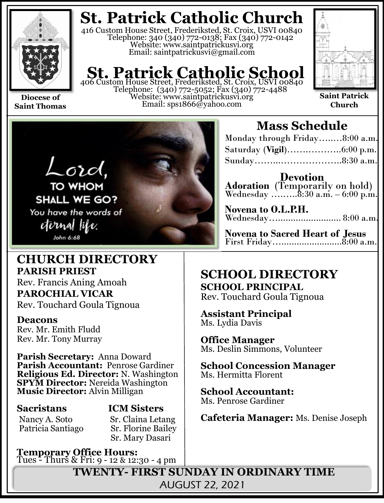

**Saint Thomas**

# **St. Patrick Catholic Church**

416 Custom House Street, Frederiksted, St. Croix, USVI 00840 Telephone: 340 (340) 772-0138; Fax (340) 772-0142 Website: www.saintpatrickusvi.org Email: saintpatrickusvi@gmail.com

# **St. Patrick Catholic School**<br>406 Custom House Street, Frederiksted, St. Croix, USVI 00840

Telephone: (340) 772-5052; Fax (340) 772-4488 Website: www.saintpatrickusvi.org Email: sps1866@yahoo.com



**Saint Patrick Church**



# **CHURCH DIRECTORY PARISH PRIEST**

Rev. Francis Aning Amoah **PAROCHIAL VICAR** Rev. Touchard Goula Tignoua

### **Deacons**

Rev. Mr. Emith Fludd Rev. Mr. Tony Murray

**Parish Secretary:** Anna Doward **Parish Accountant:** Penrose Gardiner **Religious Ed. Director:** N. Washington **SPYM Director:** Nereida Washington **Music Director:** Alvin Milligan

Patricia Santiago

**Sacristans ICM Sisters** Nancy A. Soto Sr. Claina Letang<br>Patricia Santiago Sr. Florine Bailey Sr. Mary Dasari

**Temporary Office Hours:**  Tues - Thurs & Fri: 9 - 12 & 12:30 - 4 pm

# **Mass Schedule**

| Monday through Friday8:00 a.m. |  |
|--------------------------------|--|
|                                |  |
| Sunday8:30 a.m.                |  |

**Devotion Adoration** (Temporarily on hold) Wednesday …....... $8:30$  a.m.  $-6:00$  p.m.

**Novena to O.L.P.H.** Wednesday…......................... 8:00 a.m.

**Novena to Sacred Heart of Jesus** First Friday…........................8:00 a.m.

# **SCHOOL DIRECTORY SCHOOL PRINCIPAL**

Rev. Touchard Goula Tignoua

**Assistant Principal** Ms. Lydia Davis

**Office Manager** Ms. Deslin Simmons, Volunteer

**School Concession Manager** Ms. Hermitta Florent

**School Accountant:**  Ms. Penrose Gardiner

**Cafeteria Manager:** Ms. Denise Joseph

**TWENTY- FIRST SUNDAY IN ORDINARY TIME** AUGUST 22, 2021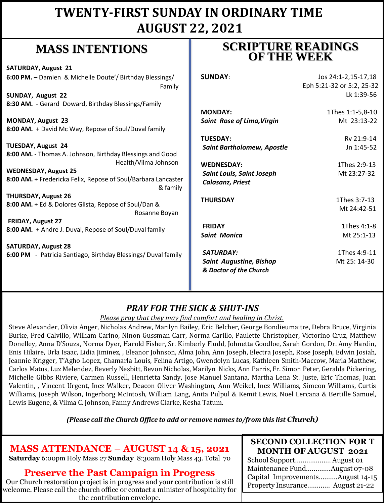# **TWENTY-FIRST SUNDAY IN ORDINARY TIME AUGUST 22, 2021**

# **MASS INTENTIONS**

| <b>SATURDAY, August 21</b>                                    |                                   |                           |
|---------------------------------------------------------------|-----------------------------------|---------------------------|
| 6:00 PM. - Damien & Michelle Doute'/ Birthday Blessings/      | <b>SUNDAY:</b>                    | Jos 24:1-2,15-17,18       |
| Family                                                        |                                   | Eph 5:21-32 or 5:2, 25-32 |
| SUNDAY, August 22                                             |                                   | Lk 1:39-56                |
| 8:30 AM. - Gerard Doward, Birthday Blessings/Family           |                                   |                           |
|                                                               | <b>MONDAY:</b>                    | 1Thes 1:1-5,8-10          |
| <b>MONDAY, August 23</b>                                      | <b>Saint Rose of Lima, Virgin</b> | Mt 23:13-22               |
| 8:00 AM. + David Mc Way, Repose of Soul/Duval family          |                                   |                           |
|                                                               | <b>TUESDAY:</b>                   | Rv 21:9-14                |
| <b>TUESDAY, August 24</b>                                     | <b>Saint Bartholomew, Apostle</b> | Jn 1:45-52                |
| 8:00 AM. - Thomas A. Johnson, Birthday Blessings and Good     |                                   |                           |
| Health/Vilma Johnson                                          | <b>WEDNESDAY:</b>                 | 1Thes 2:9-13              |
| <b>WEDNESDAY, August 25</b>                                   | <b>Saint Louis, Saint Joseph</b>  | Mt 23:27-32               |
| 8:00 AM. + Fredericka Felix, Repose of Soul/Barbara Lancaster | <b>Calasanz, Priest</b>           |                           |
| & family                                                      |                                   |                           |
| <b>THURSDAY, August 26</b>                                    | <b>THURSDAY</b>                   | 1Thes 3:7-13              |
| 8:00 AM. + Ed & Dolores Glista, Repose of Soul/Dan &          |                                   | Mt 24:42-51               |
| Rosanne Boyan                                                 |                                   |                           |
| FRIDAY, August 27                                             | <b>FRIDAY</b>                     | 1Thes 4:1-8               |
| 8:00 AM. + Andre J. Duval, Repose of Soul/Duval family        | <b>Saint Monica</b>               | Mt 25:1-13                |
|                                                               |                                   |                           |
| <b>SATURDAY, August 28</b>                                    | <b>SATURDAY:</b>                  | 1Thes 4:9-11              |
| 6:00 PM - Patricia Santiago, Birthday Blessings/Duval family  | <b>Saint Augustine, Bishop</b>    | Mt 25: 14-30              |
|                                                               | & Doctor of the Church            |                           |
|                                                               |                                   |                           |
|                                                               |                                   |                           |

### *PRAY FOR THE SICK & SHUT-INS*

#### *Please pray that they may find comfort and healing in Christ.*

Steve Alexander, Olivia Anger, Nicholas Andrew, Marilyn Bailey, Eric Belcher, George Bondieumaitre, Debra Bruce, Virginia Burke, Fred Calvillo, William Carino, Ninon Gussman Carr, Norma Carillo, Paulette Christopher, Victorino Cruz, Matthew Donelley, Anna D'Souza, Norma Dyer, Harold Fisher, Sr. Kimberly Fludd, Johnetta Goodloe, Sarah Gordon, Dr. Amy Hardin, Enis Hilaire, Urla Isaac, Lidia Jiminez, , Eleanor Johnson, Alma John, Ann Joseph, Electra Joseph, Rose Joseph, Edwin Josiah, Jeannie Krigger, T'Agho Lopez, Chamarla Louis, Felina Artigo, Gwendolyn Lucas, Kathleen Smith-Maccow, Marla Matthew, Carlos Matus, Luz Melendez, Beverly Nesbitt, Bevon Nicholas, Marilyn Nicks, Ann Parris, Fr. Simon Peter, Geralda Pickering, Michelle Gibbs Riviere, Carmen Russell, Henrietta Sandy, Jose Manuel Santana, Martha Lena St. Juste, Eric Thomas, Juan Valentin, , Vincent Urgent, Inez Walker, Deacon Oliver Washington, Ann Weikel, Inez Williams, Simeon Williams, Curtis Williams, Joseph Wilson, Ingerborg McIntosh, William Lang, Anita Pulpul & Kemit Lewis, Noel Lercana & Bertille Samuel, Lewis Eugene, & Vilma C. Johnson, Fanny Andrews Clarke, Kesha Tatum.

*(Please call the Church Office to add or remove names to/from this list Church)*

### **MASS ATTENDANCE – AUGUST 14 & 15, 2021**

**Saturday** 6:00pm Holy Mass 27 **Sunday** 8:30am Holy Mass 43. Total 70

### **Preserve the Past Campaign in Progress**

Our Church restoration project is in progress and your contribution is still welcome. Please call the church office or contact a minister of hospitality for the contribution envelope.

#### **SECOND COLLECTION FOR T MONTH OF AUGUST 2021**

School Support……….……… August 01 Maintenance Fund….………August 07-08 Capital Improvements……….August 14-15 Property Insurance………… August 21-22

## **SCRIPTURE READINGS OF THE WEEK**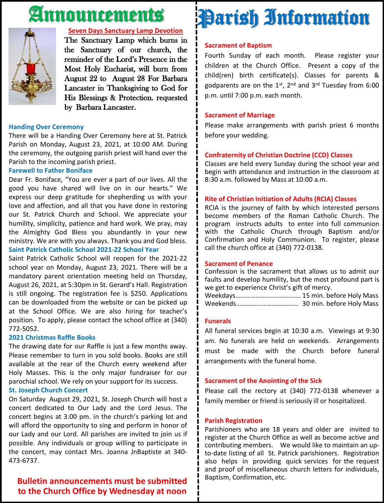# Announcements



#### **Seven Days Sanctuary Lamp Devotion**

The Sanctuary Lamp which burns in the Sanctuary of our church, the reminder of the Lord's Presence in the Most Holy Eucharist, will burn from August 22 to August 28 For Barbara Lancaster in Thanksgiving to God for His Blessings & Protection. requested by Barbara Lancaster.

#### **Handing Over Ceremony**

There will be a Handing Over Ceremony here at St. Patrick Parish on Monday, August 23, 2021, at 10:00 AM. During the ceremony, the outgoing parish priest will hand over the Parish to the incoming parish priest.

#### **Farewell to Father Boniface**

Dear Fr. Boniface, "You are ever a part of our lives. All the good you have shared will live on in our hearts." We express our deep gratitude for shepherding us with your love and affection, and all that you have done in restoring our St. Patrick Church and School. We appreciate your humility, simplicity, patience and hard work. We pray, may the Almighty God Bless you abundantly in your new ministry. We are with you always. Thank you and God bless. **Saint Patrick Catholic School 2021-22 School Year**

Saint Patrick Catholic School will reopen for the 2021-22 school year on Monday, August 23, 2021. There will be a mandatory parent orientation meeting held on Thursday, August 26, 2021, at 5:30pm in St. Gerard's Hall. Registration is still ongoing. The registration fee is \$250. Applications can be downloaded from the website or can be picked up at the School Office. We are also hiring for teacher's position. To apply, please contact the school office at (340) 772-5052.

#### **2021 Christmas Raffle Books**

The drawing date for our Raffle is just a few months away. Please remember to turn in you sold books. Books are still available at the rear of the Church every weekend after Holy Masses. This is the only major fundraiser for our parochial school. We rely on your support for its success.

#### **St. Joseph Church Concert**

On Saturday August 29, 2021, St. Joseph Church will host a concert dedicated to Our Lady and the Lord Jesus. The concert begins at 3:00 pm. in the church's parking lot and will afford the opportunity to sing and perform in honor of our Lady and our Lord. All parishes are invited to join us if possible. Any individuals or group willing to participate in the concert, may contact Mrs. Joanna JnBaptiste at 340- 473-6737.

#### **Bulletin announcements must be submitted to the Church Office by Wednesday at noon**

# Parish Information

#### **Sacrament of Baptism**

Fourth Sunday of each month. Please register your children at the Church Office. Present a copy of the child(ren) birth certificate(s). Classes for parents & godparents are on the 1st, 2<sup>nd</sup> and 3<sup>rd</sup> Tuesday from 6:00 p.m. until 7:00 p.m. each month.

#### **Sacrament of Marriage**

Please make arrangements with parish priest 6 months before your wedding.

#### **Confraternity of Christian Doctrine (CCD) Classes**

Classes are held every Sunday during the school year and begin with attendance and instruction in the classroom at 8:30 a.m. followed by Mass at 10:00 a.m.

#### **Rite of Christian Initiation of Adults (RCIA) Classes**

RCIA is the journey of faith by which interested persons become members of the Roman Catholic Church. The program instructs adults to enter into full communion with the Catholic Church through Baptism and/or Confirmation and Holy Communion. To register, please call the church office at (340) 772-0138.

#### **Sacrament of Penance**

Confession is the sacrament that allows us to admit our faults and develop humility, but the most profound part is we get to experience Christ's gift of mercy.

Weekdays……………….…………….... 15 min. before Holy Mass Weekends………………………………. 30 min. before Holy Mass

#### **Funerals**

All funeral services begin at 10:30 a.m. Viewings at 9:30 am. No funerals are held on weekends. Arrangements must be made with the Church before funeral arrangements with the funeral home.

#### **Sacrament of the Anointing of the Sick**

Please call the rectory at (340) 772-0138 whenever a family member or friend is seriously ill or hospitalized.

#### **Parish Registration**

Parishioners who are 18 years and older are invited to register at the Church Office as well as become active and contributing members. We would like to maintain an upto-date listing of all St. Patrick parishioners. Registration also helps in providing quick services for the request and proof of miscellaneous church letters for individuals, Baptism, Confirmation, etc.